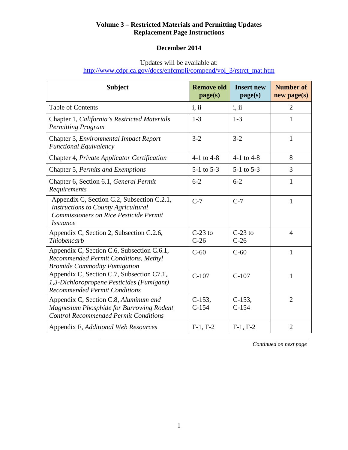## **Volume 3 – Restricted Materials and Permitting Updates Replacement Page Instructions**

# **December 2014**

Updates will be available at:

http://www.cdpr.ca.gov/docs/enfcmpli/compend/vol\_3/rstrct\_mat.htm

| <b>Subject</b>                                                                                                                                        | <b>Remove old</b><br>page(s) | <b>Insert new</b><br>page(s) | <b>Number of</b><br>$new$ page $(s)$ |
|-------------------------------------------------------------------------------------------------------------------------------------------------------|------------------------------|------------------------------|--------------------------------------|
| <b>Table of Contents</b>                                                                                                                              | i, ii                        | i, ii                        | $\overline{2}$                       |
| Chapter 1, California's Restricted Materials<br><b>Permitting Program</b>                                                                             | $1 - 3$                      | $1 - 3$                      | 1                                    |
| Chapter 3, Environmental Impact Report<br><b>Functional Equivalency</b>                                                                               | $3 - 2$                      | $3 - 2$                      | $\mathbf{1}$                         |
| Chapter 4, Private Applicator Certification                                                                                                           | 4-1 to 4-8                   | $4-1$ to $4-8$               | 8                                    |
| Chapter 5, Permits and Exemptions                                                                                                                     | $5-1$ to $5-3$               | $5-1$ to $5-3$               | $\overline{3}$                       |
| Chapter 6, Section 6.1, General Permit<br>Requirements                                                                                                | $6 - 2$                      | $6 - 2$                      | 1                                    |
| Appendix C, Section C.2, Subsection C.2.1,<br><b>Instructions to County Agricultural</b><br>Commissioners on Rice Pesticide Permit<br><i>Issuance</i> | $C-7$                        | $C-7$                        | 1                                    |
| Appendix C, Section 2, Subsection C.2.6,<br>Thiobencarb                                                                                               | $C-23$ to<br>$C-26$          | $C-23$ to<br>$C-26$          | $\overline{4}$                       |
| Appendix C, Section C.6, Subsection C.6.1,<br>Recommended Permit Conditions, Methyl<br><b>Bromide Commodity Fumigation</b>                            | $C-60$                       | $C-60$                       | 1                                    |
| Appendix C, Section C.7, Subsection C7.1,<br>1,3-Dichloropropene Pesticides (Fumigant)<br><b>Recommended Permit Conditions</b>                        | $C-107$                      | $C-107$                      | 1                                    |
| Appendix C, Section C.8, Aluminum and<br>Magnesium Phosphide for Burrowing Rodent<br><b>Control Recommended Permit Conditions</b>                     | $C-153$ ,<br>$C-154$         | $C-153$ .<br>$C-154$         | $\overline{2}$                       |
| Appendix F, Additional Web Resources                                                                                                                  | $F-1, F-2$                   | $F-1, F-2$                   | $\overline{2}$                       |

 *Continued on next page*